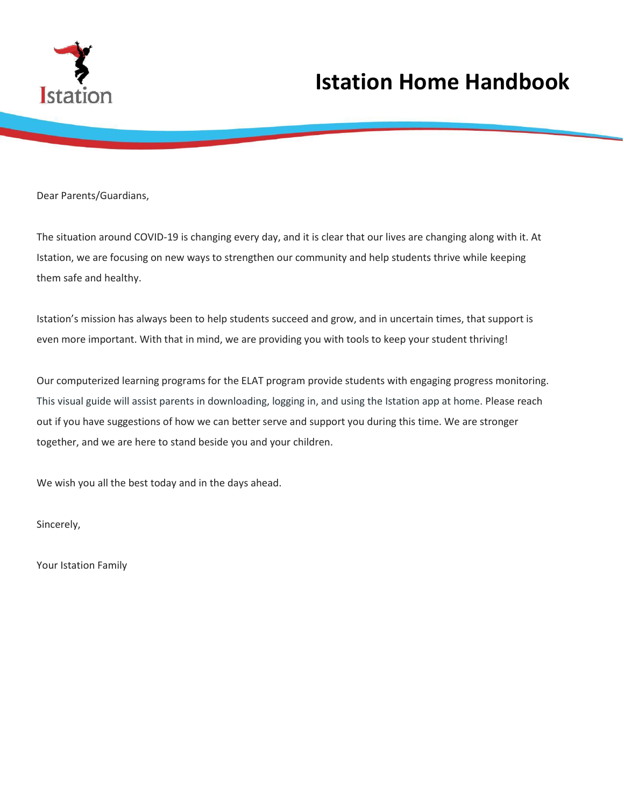

### **Istation Home Handbook**

Dear Parents/Guardians,

The situation around COVID-19 is changing every day, and it is clear that our lives are changing along with it. At Istation, we are focusing on new ways to strengthen our community and help students thrive while keeping them safe and healthy.

Istation's mission has always been to help students succeed and grow, and in uncertain times, that support is even more important. With that in mind, we are providing you with tools to keep your student thriving!

Our computerized learning programs for the ELAT program provide students with engaging progress monitoring. This visual guide will assist parents in downloading, logging in, and using the Istation app at home. Please reach out if you have suggestions of how we can better serve and support you during this time. We are stronger together, and we are here to stand beside you and your children.

We wish you all the best today and in the days ahead.

Sincerely,

Your Istation Family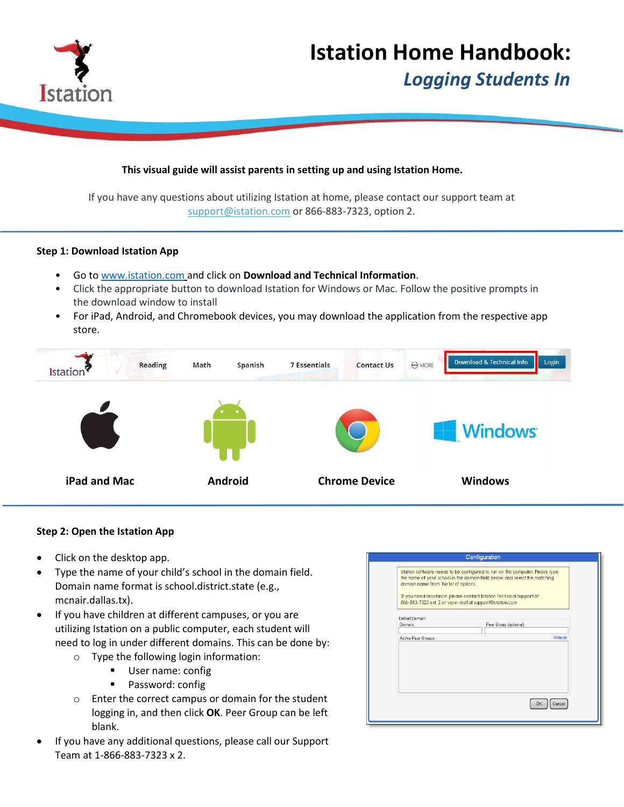

# **Istation Home Handbook:**

 *Logging Students In*

#### **This visual guide will assist parents in setting up and using Istation Home.**

If you have any questions about utilizing Istation at home, please contact our support team at [support@istation.com](mailto:support@istation.com) or 866-883-7323, option 2.

#### **Step 1: Download Istation App**

- Go to [www.istation.com](http://www.istation.com/) and click on **Download and Technical Information**.
- Click the appropriate button to download Istation for Windows or Mac. Follow the positive prompts in the download window to install
- For iPad, Android, and Chromebook devices, you may download the application from the respective app store.



#### **Step 2: Open the Istation App**

- Click on the desktop app.
- Type the name of your child's school in the domain field. Domain name format is school.district.state (e.g., mcnair.dallas.tx).
- If you have children at different campuses, or you are utilizing Istation on a public computer, each student will need to log in under different domains. This can be done by:
	- o Type the following login information:
		- **User name: config**
		- **Password: configuence**
	- o Enter the correct campus or domain for the student logging in, and then click **OK**. Peer Group can be left blank.
- If you have any additional questions, please call our Support Team at 1-866-883-7323 x 2.

| Configuration                                                                                                                                                                                                                                                                                                                             |              |
|-------------------------------------------------------------------------------------------------------------------------------------------------------------------------------------------------------------------------------------------------------------------------------------------------------------------------------------------|--------------|
| Istation software needs to be configured to run on this computer. Please type<br>the name of your school in the domain field below, and select the matching<br>domain name from the list of options.<br>If you need assistance, please contact Istation Technical Support at<br>866-883-7323 ext. 2 or via e-mail at support@istation.com |              |
| Default Domain<br>Domain:<br>Peer Group (optional):                                                                                                                                                                                                                                                                                       |              |
| Active Peer Groups:                                                                                                                                                                                                                                                                                                                       | Refresh      |
|                                                                                                                                                                                                                                                                                                                                           |              |
|                                                                                                                                                                                                                                                                                                                                           |              |
|                                                                                                                                                                                                                                                                                                                                           |              |
|                                                                                                                                                                                                                                                                                                                                           | Cancel<br>OK |
|                                                                                                                                                                                                                                                                                                                                           |              |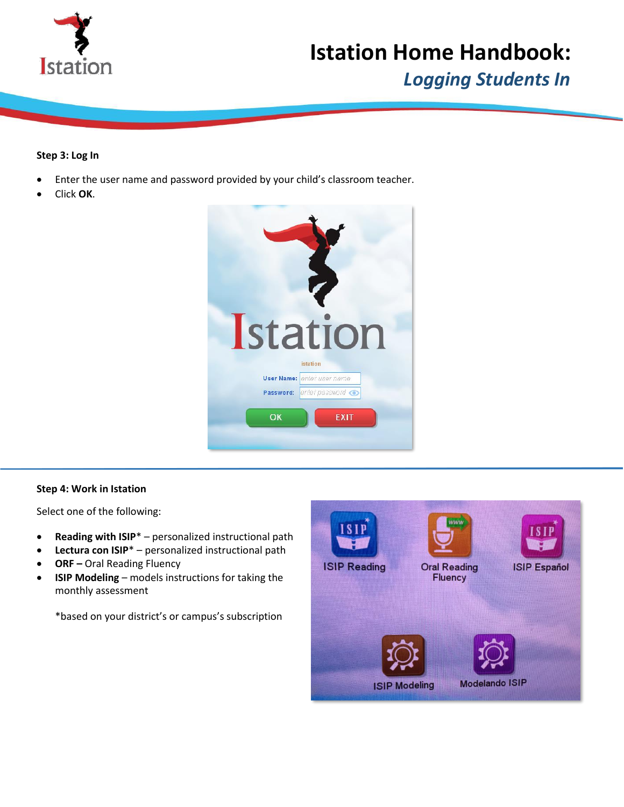

## **Istation Home Handbook:**

 *Logging Students In*

#### **Step 3: Log In**

- Enter the user name and password provided by your child's classroom teacher.
- Click **OK**.



#### **Step 4: Work in Istation**

Select one of the following:

- **Reading with ISIP**\* personalized instructional path
- **Lectura con ISIP**\* personalized instructional path
- **ORF –** Oral Reading Fluency
- **ISIP Modeling**  models instructions for taking the monthly assessment

\*based on your district's or campus's subscription